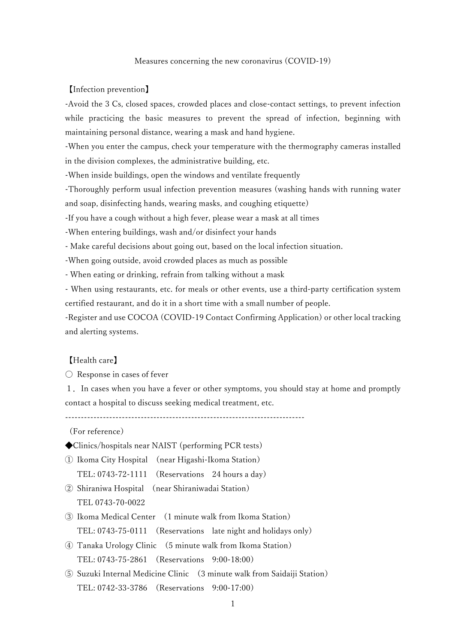#### Measures concerning the new coronavirus (COVID-19)

#### 【Infection prevention】

-Avoid the 3 Cs, closed spaces, crowded places and close-contact settings, to prevent infection while practicing the basic measures to prevent the spread of infection, beginning with maintaining personal distance, wearing a mask and hand hygiene.

-When you enter the campus, check your temperature with the thermography cameras installed in the division complexes, the administrative building, etc.

-When inside buildings, open the windows and ventilate frequently

-Thoroughly perform usual infection prevention measures (washing hands with running water and soap, disinfecting hands, wearing masks, and coughing etiquette)

-If you have a cough without a high fever, please wear a mask at all times

-When entering buildings, wash and/or disinfect your hands

- Make careful decisions about going out, based on the local infection situation.

-When going outside, avoid crowded places as much as possible

- When eating or drinking, refrain from talking without a mask

- When using restaurants, etc. for meals or other events, use a third-party certification system certified restaurant, and do it in a short time with a small number of people.

-Register and use COCOA (COVID-19 Contact Confirming Application) or other local tracking and alerting systems.

### 【Health care】

 $\bigcirc$  Response in cases of fever

1.In cases when you have a fever or other symptoms, you should stay at home and promptly contact a hospital to discuss seeking medical treatment, etc.

----------------------------------------------------------------------------

(For reference)

◆Clinics/hospitals near NAIST (performing PCR tests)

① Ikoma City Hospital (near Higashi-Ikoma Station) TEL: 0743-72-1111 (Reservations 24 hours a day)

- ② Shiraniwa Hospital (near Shiraniwadai Station) TEL 0743-70-0022
- ③ Ikoma Medical Center (1 minute walk from Ikoma Station) TEL: 0743-75-0111 (Reservations late night and holidays only)
- ④ Tanaka Urology Clinic (5 minute walk from Ikoma Station) TEL: 0743-75-2861 (Reservations 9:00-18:00)
- ⑤ Suzuki Internal Medicine Clinic (3 minute walk from Saidaiji Station) TEL: 0742-33-3786 (Reservations 9:00-17:00)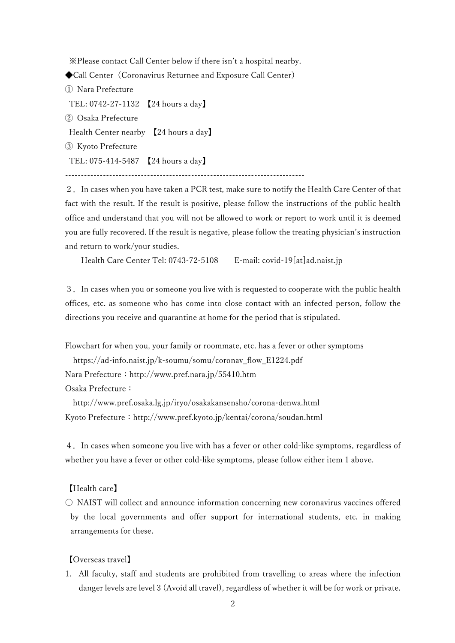※Please contact Call Center below if there isn't a hospital nearby.

◆Call Center (Coronavirus Returnee and Exposure Call Center)

① Nara Prefecture TEL: 0742-27-1132 【24 hours a day】 ② Osaka Prefecture Health Center nearby 【24 hours a day】 ③ Kyoto Prefecture TEL: 075-414-5487 【24 hours a day】 ----------------------------------------------------------------------------

2.In cases when you have taken a PCR test, make sure to notify the Health Care Center of that fact with the result. If the result is positive, please follow the instructions of the public health office and understand that you will not be allowed to work or report to work until it is deemed you are fully recovered. If the result is negative, please follow the treating physician's instruction and return to work/your studies.

Health Care Center Tel: 0743-72-5108 E-mail: covid-19[at]ad.naist.jp

3.In cases when you or someone you live with is requested to cooperate with the public health offices, etc. as someone who has come into close contact with an infected person, follow the directions you receive and quarantine at home for the period that is stipulated.

Flowchart for when you, your family or roommate, etc. has a fever or other symptoms

https://ad-info.naist.jp/k-soumu/somu/coronav\_flow\_E1224.pdf

Nara Prefecture: http://www.pref.nara.jp/55410.htm

Osaka Prefecture:

http://www.pref.osaka.lg.jp/iryo/osakakansensho/corona-denwa.html Kyoto Prefecture: http://www.pref.kyoto.jp/kentai/corona/soudan.html

4.In cases when someone you live with has a fever or other cold-like symptoms, regardless of whether you have a fever or other cold-like symptoms, please follow either item 1 above.

【Health care】

〇 NAIST will collect and announce information concerning new coronavirus vaccines offered by the local governments and offer support for international students, etc. in making arrangements for these.

【Overseas travel】

1. All faculty, staff and students are prohibited from travelling to areas where the infection danger levels are level 3 (Avoid all travel), regardless of whether it will be for work or private.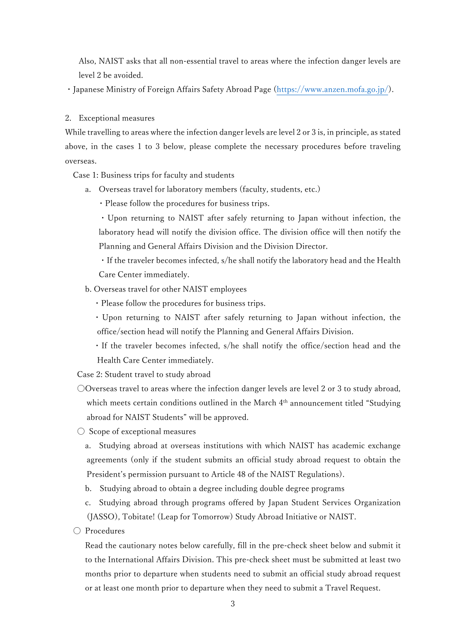Also, NAIST asks that all non-essential travel to areas where the infection danger levels are level 2 be avoided.

・Japanese Ministry of Foreign Affairs Safety Abroad Page [\(https://www.anzen.mofa.go.jp/\)](https://www.anzen.mofa.go.jp/).

2. Exceptional measures

While travelling to areas where the infection danger levels are level 2 or 3 is, in principle, as stated above, in the cases 1 to 3 below, please complete the necessary procedures before traveling overseas.

Case 1: Business trips for faculty and students

a. Overseas travel for laboratory members (faculty, students, etc.)

・Please follow the procedures for business trips.

・Upon returning to NAIST after safely returning to Japan without infection, the laboratory head will notify the division office. The division office will then notify the Planning and General Affairs Division and the Division Director.

・If the traveler becomes infected, s/he shall notify the laboratory head and the Health Care Center immediately.

- b. Overseas travel for other NAIST employees
	- ・Please follow the procedures for business trips.
	- ・Upon returning to NAIST after safely returning to Japan without infection, the office/section head will notify the Planning and General Affairs Division.
	- ・If the traveler becomes infected, s/he shall notify the office/section head and the Health Care Center immediately.

Case 2: Student travel to study abroad

 $\bigcirc$ Overseas travel to areas where the infection danger levels are level 2 or 3 to study abroad, which meets certain conditions outlined in the March 4<sup>th</sup> announcement titled "Studying abroad for NAIST Students" will be approved.

〇 Scope of exceptional measures

a. Studying abroad at overseas institutions with which NAIST has academic exchange agreements (only if the student submits an official study abroad request to obtain the President's permission pursuant to Article 48 of the NAIST Regulations).

b. Studying abroad to obtain a degree including double degree programs

c. Studying abroad through programs offered by Japan Student Services Organization (JASSO), Tobitate! (Leap for Tomorrow) Study Abroad Initiative or NAIST.

〇 Procedures

Read the cautionary notes below carefully, fill in the pre-check sheet below and submit it to the International Affairs Division. This pre-check sheet must be submitted at least two months prior to departure when students need to submit an official study abroad request or at least one month prior to departure when they need to submit a Travel Request.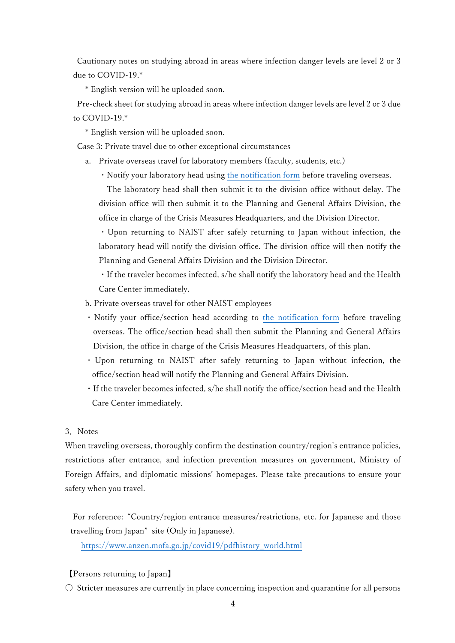Cautionary notes on studying abroad in areas where infection danger levels are level 2 or 3 due to COVID-19.\*

\* English version will be uploaded soon.

Pre-check sheet for studying abroad in areas where infection danger levels are level 2 or 3 due to COVID-19.\*

\* English version will be uploaded soon.

Case 3: Private travel due to other exceptional circumstances

- a. Private overseas travel for laboratory members (faculty, students, etc.)
	- ・Notify your laboratory head using [the notification](https://ad-info.naist.jp/k-soumu/somu/overseastravel_notificationform.docx) form before traveling overseas.

The laboratory head shall then submit it to the division office without delay. The division office will then submit it to the Planning and General Affairs Division, the office in charge of the Crisis Measures Headquarters, and the Division Director.

・Upon returning to NAIST after safely returning to Japan without infection, the laboratory head will notify the division office. The division office will then notify the Planning and General Affairs Division and the Division Director.

・If the traveler becomes infected, s/he shall notify the laboratory head and the Health Care Center immediately.

- b. Private overseas travel for other NAIST employees
- ・Notify your office/section head according to the [notification form](https://ad-info.naist.jp/k-soumu/somu/overseastravel_notificationform.docx) before traveling overseas. The office/section head shall then submit the Planning and General Affairs Division, the office in charge of the Crisis Measures Headquarters, of this plan.
- ・ Upon returning to NAIST after safely returning to Japan without infection, the office/section head will notify the Planning and General Affairs Division.
- ・If the traveler becomes infected, s/he shall notify the office/section head and the Health Care Center immediately.

## 3.Notes

When traveling overseas, thoroughly confirm the destination country/region's entrance policies, restrictions after entrance, and infection prevention measures on government, Ministry of Foreign Affairs, and diplomatic missions' homepages. Please take precautions to ensure your safety when you travel.

For reference: "Country/region entrance measures/restrictions, etc. for Japanese and those travelling from Japan" site (Only in Japanese).

[https://www.anzen.mofa.go.jp/covid19/pdfhistory\\_world.html](https://www.anzen.mofa.go.jp/covid19/pdfhistory_world.html)

## 【Persons returning to Japan】

 $\circ$  Stricter measures are currently in place concerning inspection and quarantine for all persons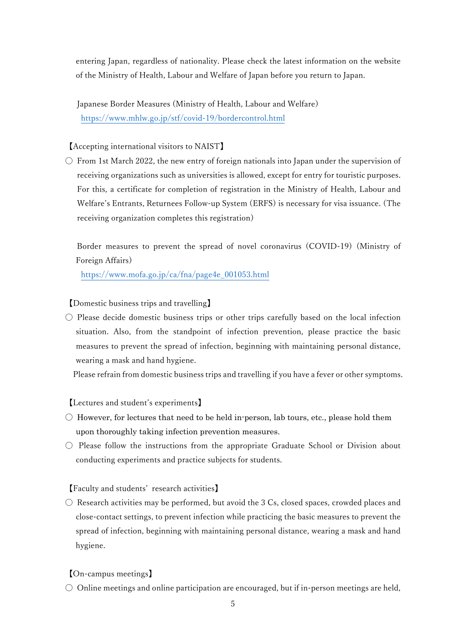entering Japan, regardless of nationality. Please check the latest information on the website of the Ministry of Health, Labour and Welfare of Japan before you return to Japan.

 Japanese Border Measures (Ministry of Health, Labour and Welfare) https://www.mhlw.go.jp/stf/covid-19/bordercontrol.html

# 【Accepting international visitors to NAIST】

 $\circlearrowright$  From 1st March 2022, the new entry of foreign nationals into Japan under the supervision of receiving organizations such as universities is allowed, except for entry for touristic purposes. For this, a certificate for completion of registration in the Ministry of Health, Labour and Welfare's Entrants, Returnees Follow-up System (ERFS) is necessary for visa issuance. (The receiving organization completes this registration)

 Border measures to prevent the spread of novel coronavirus (COVID-19) (Ministry of Foreign Affairs)

https://www.mofa.go.jp/ca/fna/page4e\_001053.html

【Domestic business trips and travelling】

 $\circlearrowright$  Please decide domestic business trips or other trips carefully based on the local infection situation. Also, from the standpoint of infection prevention, please practice the basic measures to prevent the spread of infection, beginning with maintaining personal distance, wearing a mask and hand hygiene.

Please refrain from domestic business trips and travelling if you have a fever or other symptoms.

【Lectures and student's experiments】

- $\circlearrowright$  However, for lectures that need to be held in person, lab tours, etc., please hold them upon thoroughly taking infection prevention measures.
- Please follow the instructions from the appropriate Graduate School or Division about conducting experiments and practice subjects for students.

【Faculty and students' research activities】

 $\circ$  Research activities may be performed, but avoid the 3 Cs, closed spaces, crowded places and close-contact settings, to prevent infection while practicing the basic measures to prevent the spread of infection, beginning with maintaining personal distance, wearing a mask and hand hygiene.

【On-campus meetings】

 $\circlearrowright$  Online meetings and online participation are encouraged, but if in-person meetings are held,